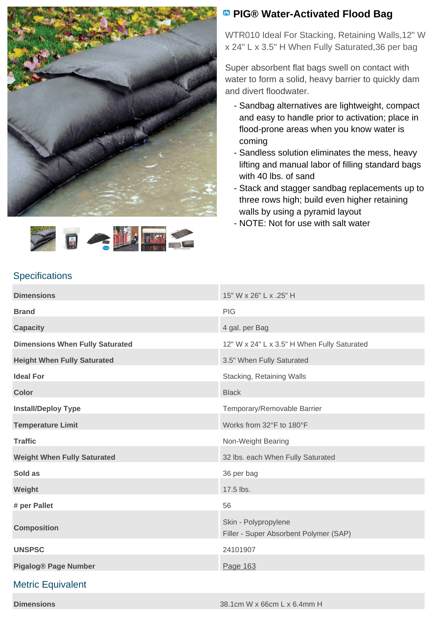



## **<sup><b>B</sup>** PIG® Water-Activated Flood Bag</sup>

WTR010 Ideal For Stacking, Retaining Walls,12" W x 24" L x 3.5" H When Fully Saturated,36 per bag

Super absorbent flat bags swell on contact with water to form a solid, heavy barrier to quickly dam and divert floodwater.

- Sandbag alternatives are lightweight, compact and easy to handle prior to activation; place in flood-prone areas when you know water is coming
- Sandless solution eliminates the mess, heavy lifting and manual labor of filling standard bags with 40 lbs. of sand
- Stack and stagger sandbag replacements up to three rows high; build even higher retaining walls by using a pyramid layout
- NOTE: Not for use with salt water

## **Specifications**

| <b>Dimensions</b>                      | 15" W x 26" L x .25" H                                         |
|----------------------------------------|----------------------------------------------------------------|
| <b>Brand</b>                           | <b>PIG</b>                                                     |
| <b>Capacity</b>                        | 4 gal. per Bag                                                 |
| <b>Dimensions When Fully Saturated</b> | 12" W x 24" L x 3.5" H When Fully Saturated                    |
| <b>Height When Fully Saturated</b>     | 3.5" When Fully Saturated                                      |
| <b>Ideal For</b>                       | Stacking, Retaining Walls                                      |
| <b>Color</b>                           | <b>Black</b>                                                   |
| <b>Install/Deploy Type</b>             | Temporary/Removable Barrier                                    |
| <b>Temperature Limit</b>               | Works from 32°F to 180°F                                       |
| <b>Traffic</b>                         | Non-Weight Bearing                                             |
| <b>Weight When Fully Saturated</b>     | 32 lbs. each When Fully Saturated                              |
| Sold as                                | 36 per bag                                                     |
| Weight                                 | 17.5 lbs.                                                      |
| # per Pallet                           | 56                                                             |
| <b>Composition</b>                     | Skin - Polypropylene<br>Filler - Super Absorbent Polymer (SAP) |
|                                        |                                                                |
| <b>UNSPSC</b>                          | 24101907                                                       |

## Metric Equivalent